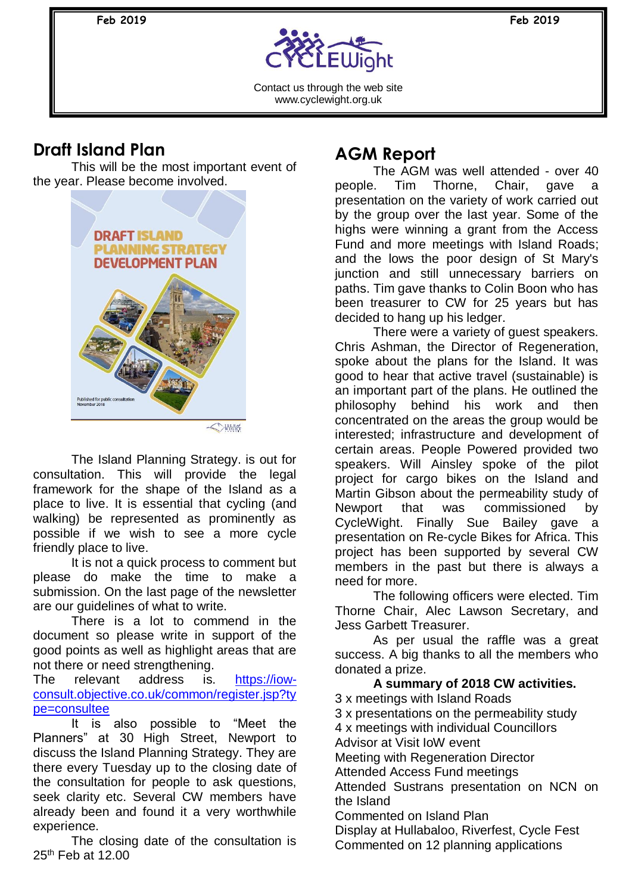**Feb 2019 Feb 2019** 



Contact us through the web site www.cyclewight.org.uk

### **Draft Island Plan**

This will be the most important event of the year. Please become involved.



The Island Planning Strategy. is out for consultation. This will provide the legal framework for the shape of the Island as a place to live. It is essential that cycling (and walking) be represented as prominently as possible if we wish to see a more cycle friendly place to live.

It is not a quick process to comment but please do make the time to make a submission. On the last page of the newsletter are our guidelines of what to write.

There is a lot to commend in the document so please write in support of the good points as well as highlight areas that are not there or need strengthening.

The relevant address is. [https://iow](https://iow-consult.objective.co.uk/common/register.jsp?type=consultee)[consult.objective.co.uk/common/register.jsp?ty](https://iow-consult.objective.co.uk/common/register.jsp?type=consultee) [pe=consultee](https://iow-consult.objective.co.uk/common/register.jsp?type=consultee)

It is also possible to "Meet the Planners" at 30 High Street, Newport to discuss the Island Planning Strategy. They are there every Tuesday up to the closing date of the consultation for people to ask questions, seek clarity etc. Several CW members have already been and found it a very worthwhile experience.

The closing date of the consultation is 25th Feb at 12.00

# **AGM Report**

The AGM was well attended - over 40 people. Tim Thorne, Chair, gave a presentation on the variety of work carried out by the group over the last year. Some of the highs were winning a grant from the Access Fund and more meetings with Island Roads; and the lows the poor design of St Mary's junction and still unnecessary barriers on paths. Tim gave thanks to Colin Boon who has been treasurer to CW for 25 years but has decided to hang up his ledger.

There were a variety of guest speakers. Chris Ashman, the Director of Regeneration, spoke about the plans for the Island. It was good to hear that active travel (sustainable) is an important part of the plans. He outlined the philosophy behind his work and then concentrated on the areas the group would be interested; infrastructure and development of certain areas. People Powered provided two speakers. Will Ainsley spoke of the pilot project for cargo bikes on the Island and Martin Gibson about the permeability study of Newport that was commissioned by CycleWight. Finally Sue Bailey gave a presentation on Re-cycle Bikes for Africa. This project has been supported by several CW members in the past but there is always a need for more.

The following officers were elected. Tim Thorne Chair, Alec Lawson Secretary, and Jess Garbett Treasurer.

As per usual the raffle was a great success. A big thanks to all the members who donated a prize.

**A summary of 2018 CW activities.** 3 x meetings with Island Roads 3 x presentations on the permeability study 4 x meetings with individual Councillors Advisor at Visit IoW event Meeting with Regeneration Director Attended Access Fund meetings Attended Sustrans presentation on NCN on the Island Commented on Island Plan Display at Hullabaloo, Riverfest, Cycle Fest Commented on 12 planning applications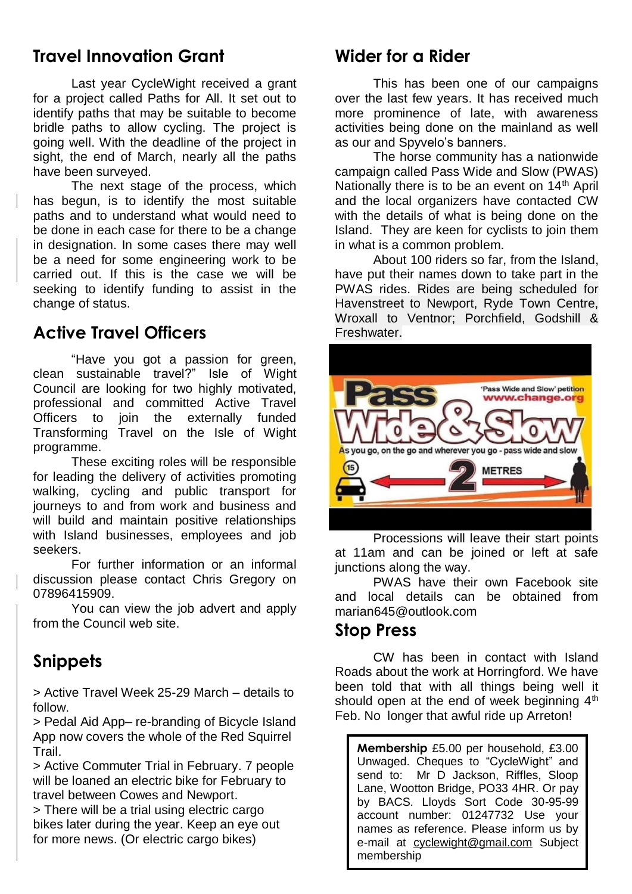### **Travel Innovation Grant**

Last year CycleWight received a grant for a project called Paths for All. It set out to identify paths that may be suitable to become bridle paths to allow cycling. The project is going well. With the deadline of the project in sight, the end of March, nearly all the paths have been surveyed.

The next stage of the process, which has begun, is to identify the most suitable paths and to understand what would need to be done in each case for there to be a change in designation. In some cases there may well be a need for some engineering work to be carried out. If this is the case we will be seeking to identify funding to assist in the change of status.

## **Active Travel Officers**

"Have you got a passion for green, clean sustainable travel?" Isle of Wight Council are looking for two highly motivated, professional and committed Active Travel Officers to join the externally funded Transforming Travel on the Isle of Wight programme.

These exciting roles will be responsible for leading the delivery of activities promoting walking, cycling and public transport for journeys to and from work and business and will build and maintain positive relationships with Island businesses, employees and job seekers.

For further information or an informal discussion please contact Chris Gregory on 07896415909.

You can view the job advert and apply from the Council web site.

## **Snippets**

> Active Travel Week 25-29 March – details to follow.

> Pedal Aid App– re-branding of Bicycle Island App now covers the whole of the Red Squirrel Trail.

> Active Commuter Trial in February. 7 people will be loaned an electric bike for February to travel between Cowes and Newport.

> There will be a trial using electric cargo bikes later during the year. Keep an eye out for more news. (Or electric cargo bikes)

### **Wider for a Rider**

This has been one of our campaigns over the last few years. It has received much more prominence of late, with awareness activities being done on the mainland as well as our and Spyvelo's banners.

The horse community has a nationwide campaign called Pass Wide and Slow (PWAS) Nationally there is to be an event on 14<sup>th</sup> April and the local organizers have contacted CW with the details of what is being done on the Island. They are keen for cyclists to join them in what is a common problem.

About 100 riders so far, from the Island, have put their names down to take part in the PWAS rides. Rides are being scheduled for Havenstreet to Newport, Ryde Town Centre, Wroxall to Ventnor; Porchfield, Godshill & Freshwater.



Processions will leave their start points at 11am and can be joined or left at safe junctions along the way.

PWAS have their own Facebook site and local details can be obtained from [marian645@outlook.com](mailto:marian645@outlook.com)

#### **Stop Press**

CW has been in contact with Island Roads about the work at Horringford. We have been told that with all things being well it should open at the end of week beginning  $4<sup>th</sup>$ Feb. No longer that awful ride up Arreton!

**Membership** £5.00 per household, £3.00 Unwaged. Cheques to "CycleWight" and send to: Mr D Jackson, Riffles, Sloop Lane, Wootton Bridge, PO33 4HR. Or pay by BACS. Lloyds Sort Code 30-95-99 account number: 01247732 Use your names as reference. Please inform us by e-mail at [cyclewight@gmail.com](mailto:cyclewight@gmail.com) Subject membership